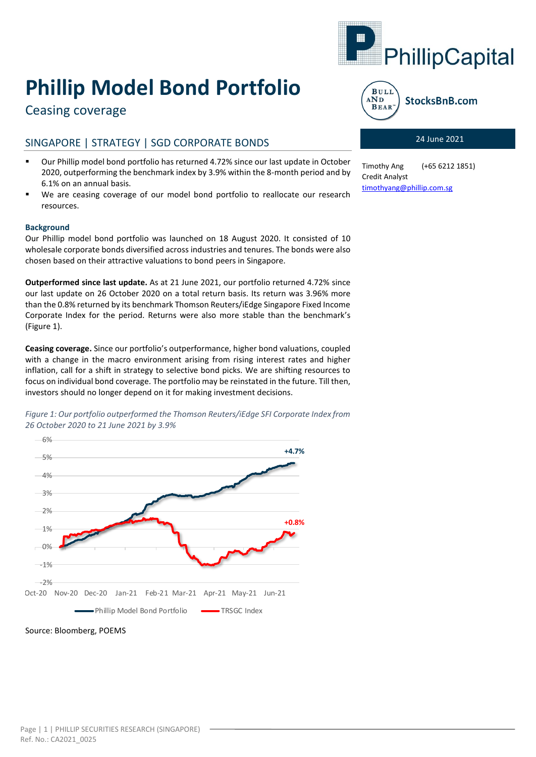

# **Phillip Model Bond Portfolio**

# Ceasing coverage

# SINGAPORE | STRATEGY | SGD CORPORATE BONDS

- Our Phillip model bond portfolio has returned 4.72% since our last update in October 2020, outperforming the benchmark index by 3.9% within the 8-month period and by 6.1% on an annual basis.
- We are ceasing coverage of our model bond portfolio to reallocate our research resources.

## **Background**

Our Phillip model bond portfolio was launched on 18 August 2020. It consisted of 10 wholesale corporate bonds diversified across industries and tenures. The bonds were also chosen based on their attractive valuations to bond peers in Singapore.

**Outperformed since last update.** As at 21 June 2021, our portfolio returned 4.72% since our last update on 26 October 2020 on a total return basis. Its return was 3.96% more than the 0.8% returned by its benchmark Thomson Reuters/iEdge Singapore Fixed Income Corporate Index for the period. Returns were also more stable than the benchmark's (Figure 1).

**Ceasing coverage.** Since our portfolio's outperformance, higher bond valuations, coupled with a change in the macro environment arising from rising interest rates and higher inflation, call for a shift in strategy to selective bond picks. We are shifting resources to focus on individual bond coverage. The portfolio may be reinstated in the future. Till then, investors should no longer depend on it for making investment decisions.

*Figure 1: Our portfolio outperformed the Thomson Reuters/iEdge SFI Corporate Index from 26 October 2020 to 21 June 2021 by 3.9%*



Source: Bloomberg, POEMS



## 24 June 2021

Timothy Ang (+65 6212 1851) Credit Analyst [timothyang@phillip.com.sg](mailto:timothyang@phillip.com.sg)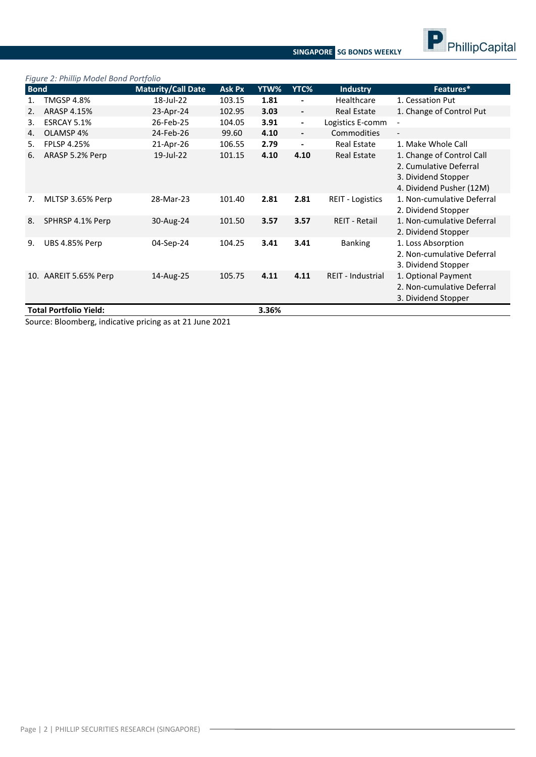

**SINGAPORE SG BONDS WEEKLY**

#### *Figure 2: Phillip Model Bond Portfolio*

| <b>Bond</b> |                               | <b>Maturity/Call Date</b> | <b>Ask Px</b> | YTW%  | YTC%                     | <b>Industry</b>          | Features*                                                                                              |
|-------------|-------------------------------|---------------------------|---------------|-------|--------------------------|--------------------------|--------------------------------------------------------------------------------------------------------|
|             | <b>TMGSP 4.8%</b>             | 18-Jul-22                 | 103.15        | 1.81  | -                        | Healthcare               | 1. Cessation Put                                                                                       |
| 2.          | ARASP 4.15%                   | 23-Apr-24                 | 102.95        | 3.03  | $\overline{\phantom{a}}$ | <b>Real Estate</b>       | 1. Change of Control Put                                                                               |
| 3.          | ESRCAY 5.1%                   | 26-Feb-25                 | 104.05        | 3.91  | $\blacksquare$           | Logistics E-comm         |                                                                                                        |
| 4.          | OLAMSP 4%                     | 24-Feb-26                 | 99.60         | 4.10  | $\overline{\phantom{a}}$ | <b>Commodities</b>       | $\blacksquare$                                                                                         |
| 5.          | <b>FPLSP 4.25%</b>            | 21-Apr-26                 | 106.55        | 2.79  | $\overline{\phantom{a}}$ | <b>Real Estate</b>       | 1. Make Whole Call                                                                                     |
| 6.          | ARASP 5.2% Perp               | 19-Jul-22                 | 101.15        | 4.10  | 4.10                     | <b>Real Estate</b>       | 1. Change of Control Call<br>2. Cumulative Deferral<br>3. Dividend Stopper<br>4. Dividend Pusher (12M) |
| 7.          | MLTSP 3.65% Perp              | 28-Mar-23                 | 101.40        | 2.81  | 2.81                     | <b>REIT - Logistics</b>  | 1. Non-cumulative Deferral<br>2. Dividend Stopper                                                      |
| 8.          | SPHRSP 4.1% Perp              | 30-Aug-24                 | 101.50        | 3.57  | 3.57                     | <b>REIT - Retail</b>     | 1. Non-cumulative Deferral<br>2. Dividend Stopper                                                      |
| 9.          | <b>UBS 4.85% Perp</b>         | 04-Sep-24                 | 104.25        | 3.41  | 3.41                     | <b>Banking</b>           | 1. Loss Absorption<br>2. Non-cumulative Deferral<br>3. Dividend Stopper                                |
|             | 10. AAREIT 5.65% Perp         | 14-Aug-25                 | 105.75        | 4.11  | 4.11                     | <b>REIT - Industrial</b> | 1. Optional Payment<br>2. Non-cumulative Deferral<br>3. Dividend Stopper                               |
|             | <b>Total Portfolio Yield:</b> |                           |               | 3.36% |                          |                          |                                                                                                        |

Source: Bloomberg, indicative pricing as at 21 June 2021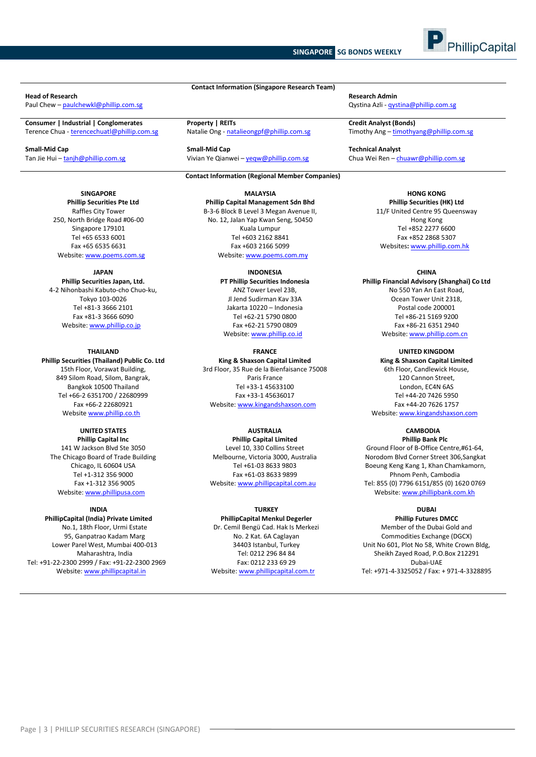#### **SINGAPORE SG BONDS WEEKLY**



# **Head of Research Research Admin**

Paul Chew – <u>[paulchewkl@phillip.com.sg](mailto:paulchewkl@phillip.com.sg)</u><br>
Qystina Azli - [qystina@phillip.com.sg](mailto:qystina@phillip.com.sg)

#### **SINGAPORE**

**Phillip Securities Pte Ltd** Raffles City Tower 250, North Bridge Road #06-00 Singapore 179101 Tel +65 6533 6001 Fax +65 6535 6631 Website: www.poems.com.sg

#### **JAPAN**

**Phillip Securities Japan, Ltd.** 4-2 Nihonbashi Kabuto-cho Chuo-ku, Tokyo 103-0026 Tel +81-3 3666 2101 Fax +81-3 3666 6090 Website[: www.phillip.co.jp](http://www.phillip.co.jp/)

#### **THAILAND Phillip Securities (Thailand) Public Co. Ltd** 15th Floor, Vorawat Building, 849 Silom Road, Silom, Bangrak, Bangkok 10500 Thailand Tel +66-2 6351700 / 22680999 Fax +66-2 22680921 Website [www.phillip.co.th](http://www.phillip.co.th/)

**UNITED STATES Phillip Capital Inc** 141 W Jackson Blvd Ste 3050 The Chicago Board of Trade Building Chicago, IL 60604 USA Tel +1-312 356 9000 Fax +1-312 356 9005 Website[: www.phillipusa.com](http://www.phillipusa.com/)

#### **INDIA**

**PhillipCapital (India) Private Limited** No.1, 18th Floor, Urmi Estate 95, Ganpatrao Kadam Marg Lower Parel West, Mumbai 400-013 Maharashtra, India Tel: +91-22-2300 2999 / Fax: +91-22-2300 2969 Website[: www.phillipcapital.in](http://www.phillipcapital.in/)

**Contact Information (Singapore Research Team)**

**Consumer | Industrial | Conglomerates Property | REITs Credit Analyst (Bonds)**<br> **Property | REITS Credit Analyst (Bonds)**<br> **Credit Analyst (Bonds)**<br> **Credit Analyst (Bonds)**<br> **Credit Analyst (Bonds)**<br> **Credit Analys** Natalie Ong - [natalieongpf@phillip.com.sg](mailto:natalieongpf@phillip.com.sg)

**Small-Mid Cap Small-Mid Cap Technical Analyst** Vivian Ye Qianwei – yeqw@phillip.com.sg Chua Wei Ren – chuawr@phillip.com.sg Chua Wei Ren – chuawr@phillip.com.sg

#### **Contact Information (Regional Member Companies)**

**MALAYSIA Phillip Capital Management Sdn Bhd** B-3-6 Block B Level 3 Megan Avenue II, No. 12, Jalan Yap Kwan Seng, 50450 Kuala Lumpur Tel +603 2162 8841 Fax +603 2166 5099 Website[: www.poems.com.my](http://www.poems.com.my/)

> **INDONESIA PT Phillip Securities Indonesia** ANZ Tower Level 23B, Jl Jend Sudirman Kav 33A Jakarta 10220 – Indonesia Tel +62-21 5790 0800 Fax +62-21 5790 0809 Website: [www.phillip.co.id](http://www.phillip.co.id/)

**FRANCE King & Shaxson Capital Limited** 3rd Floor, 35 Rue de la Bienfaisance 75008 Paris France Tel +33-1 45633100 Fax +33-1 45636017 Website[: www.kingandshaxson.com](http://www.kingandshaxson.com/)

#### **AUSTRALIA Phillip Capital Limited** Level 10, 330 Collins Street Melbourne, Victoria 3000, Australia Tel +61-03 8633 9803 Fax +61-03 8633 9899 Website[: www.phillipcapital.com.au](http://www.phillipcapital.com.au/)

#### **TURKEY**

**PhillipCapital Menkul Degerler** Dr. Cemil Bengü Cad. Hak Is Merkezi No. 2 Kat. 6A Caglayan 34403 Istanbul, Turkey Tel: 0212 296 84 84 Fax: 0212 233 69 29 Website[: www.phillipcapital.com.tr](http://www.phillipcapital.com.tr/)

**HONG KONG Phillip Securities (HK) Ltd** 11/F United Centre 95 Queensway Hong Kong Tel +852 2277 6600 Fax +852 2868 5307 Websites**:** [www.phillip.com.hk](http://www.phillip.com.hk/)

**CHINA Phillip Financial Advisory (Shanghai) Co Ltd** No 550 Yan An East Road, Ocean Tower Unit 2318, Postal code 200001 Tel +86-21 5169 9200 Fax +86-21 6351 2940 Website[: www.phillip.com.cn](http://www.phillip.com.cn/)

**UNITED KINGDOM King & Shaxson Capital Limited** 6th Floor, Candlewick House, 120 Cannon Street, London, EC4N 6AS Tel +44-20 7426 5950 Fax +44-20 7626 1757 Website[: www.kingandshaxson.com](http://www.kingandshaxson.com/)

**CAMBODIA Phillip Bank Plc** Ground Floor of B-Office Centre,#61-64, Norodom Blvd Corner Street 306,Sangkat Boeung Keng Kang 1, Khan Chamkamorn, Phnom Penh, Cambodia Tel: 855 (0) 7796 6151/855 (0) 1620 0769 Website[: www.phillipbank.com.kh](http://www.phillipbank.com.kh/)

## **DUBAI**

**Phillip Futures DMCC** Member of the Dubai Gold and Commodities Exchange (DGCX) Unit No 601, Plot No 58, White Crown Bldg, Sheikh Zayed Road, P.O.Box 212291 Dubai-UAE Tel: +971-4-3325052 / Fax: + 971-4-3328895